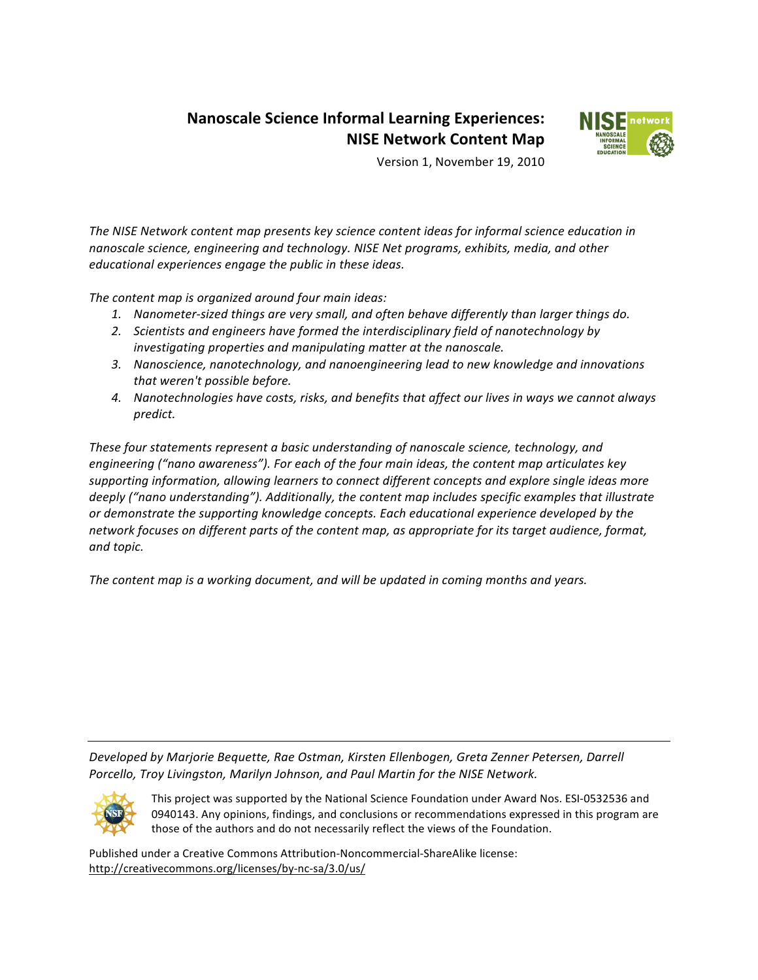# **Nanoscale Science Informal Learning Experiences: NISE Network Content Map**



Version 1, November 19, 2010

The NISE Network content map presents key science content ideas for informal science education in *nanoscale science, engineering and technology. NISE Net programs, exhibits, media, and other educational experiences engage the public in these ideas.* 

The content map is organized around four main ideas:

- 1. Nanometer-sized things are very small, and often behave differently than larger things do.
- 2. *Scientists and engineers have formed the interdisciplinary field of nanotechnology by* investigating properties and manipulating matter at the nanoscale.
- 3. Nanoscience, nanotechnology, and nanoengineering lead to new knowledge and innovations *that!weren't!possible!before.*
- 4. Nanotechnologies have costs, risks, and benefits that affect our lives in ways we cannot always *predict.*

These four statements represent a basic understanding of nanoscale science, technology, and engineering ("nano awareness"). For each of the four main ideas, the content map articulates key supporting information, allowing learners to connect different concepts and explore single ideas more *deeply ("nano understanding"). Additionally, the content map includes specific examples that illustrate or demonstrate the supporting knowledge concepts. Each educational experience developed by the network focuses on different parts of the content map, as appropriate for its target audience, format, and!topic.!*

*The content map is a working document, and will be updated in coming months and years.* 

Developed by Marjorie Bequette, Rae Ostman, Kirsten Ellenbogen, Greta Zenner Petersen, Darrell Porcello, Troy Livingston, Marilyn Johnson, and Paul Martin for the NISE Network.



This project was supported by the National Science Foundation under Award Nos. ESI-0532536 and 0940143. Any opinions, findings, and conclusions or recommendations expressed in this program are those of the authors and do not necessarily reflect the views of the Foundation.

Published under a Creative Commons Attribution-Noncommercial-ShareAlike license: http://creativecommons.org/licenses/by-nc-sa/3.0/us/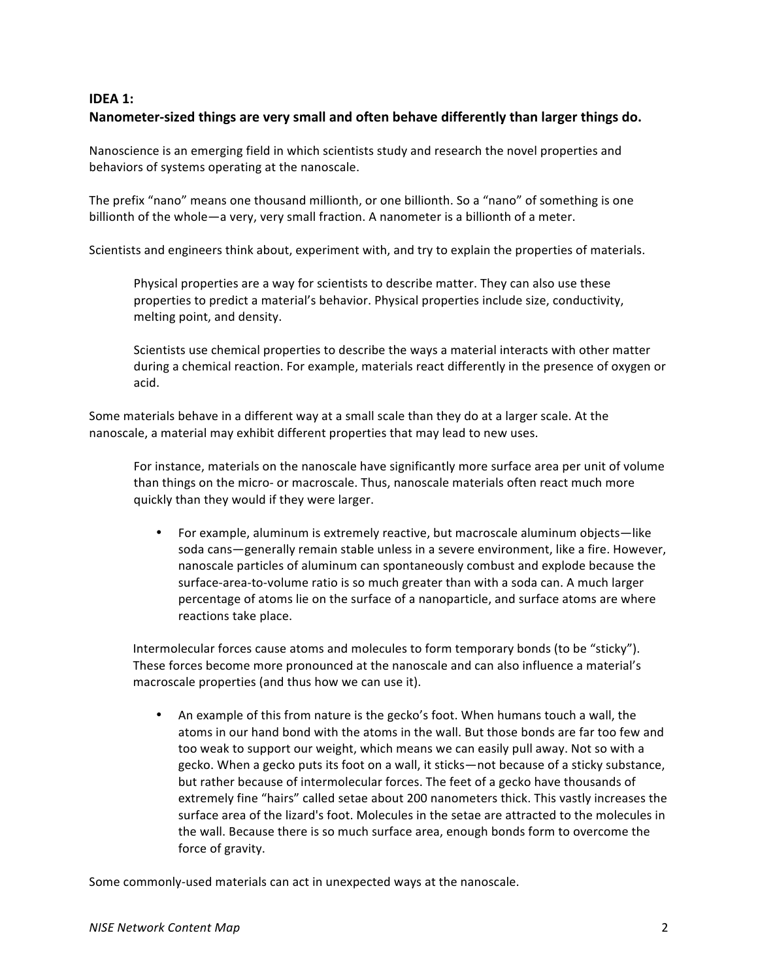### **IDEA 1:** Nanometer-sized things are very small and often behave differently than larger things do.

Nanoscience is an emerging field in which scientists study and research the novel properties and behaviors of systems operating at the nanoscale.

The prefix "nano" means one thousand millionth, or one billionth. So a "nano" of something is one billionth of the whole—a very, very small fraction. A nanometer is a billionth of a meter.

Scientists and engineers think about, experiment with, and try to explain the properties of materials.

Physical properties are a way for scientists to describe matter. They can also use these properties to predict a material's behavior. Physical properties include size, conductivity, melting point, and density.

Scientists use chemical properties to describe the ways a material interacts with other matter during a chemical reaction. For example, materials react differently in the presence of oxygen or acid.

Some materials behave in a different way at a small scale than they do at a larger scale. At the nanoscale, a material may exhibit different properties that may lead to new uses.

For instance, materials on the nanoscale have significantly more surface area per unit of volume than things on the micro- or macroscale. Thus, nanoscale materials often react much more quickly than they would if they were larger.

For example, aluminum is extremely reactive, but macroscale aluminum objects—like soda cans—generally remain stable unless in a severe environment, like a fire. However, nanoscale particles of aluminum can spontaneously combust and explode because the surface-area-to-volume ratio is so much greater than with a soda can. A much larger percentage of atoms lie on the surface of a nanoparticle, and surface atoms are where reactions take place.

Intermolecular forces cause atoms and molecules to form temporary bonds (to be "sticky"). These forces become more pronounced at the nanoscale and can also influence a material's macroscale properties (and thus how we can use it).

An example of this from nature is the gecko's foot. When humans touch a wall, the atoms in our hand bond with the atoms in the wall. But those bonds are far too few and too weak to support our weight, which means we can easily pull away. Not so with a gecko. When a gecko puts its foot on a wall, it sticks—not because of a sticky substance, but rather because of intermolecular forces. The feet of a gecko have thousands of extremely fine "hairs" called setae about 200 nanometers thick. This vastly increases the surface area of the lizard's foot. Molecules in the setae are attracted to the molecules in the wall. Because there is so much surface area, enough bonds form to overcome the force of gravity.

Some commonly-used materials can act in unexpected ways at the nanoscale.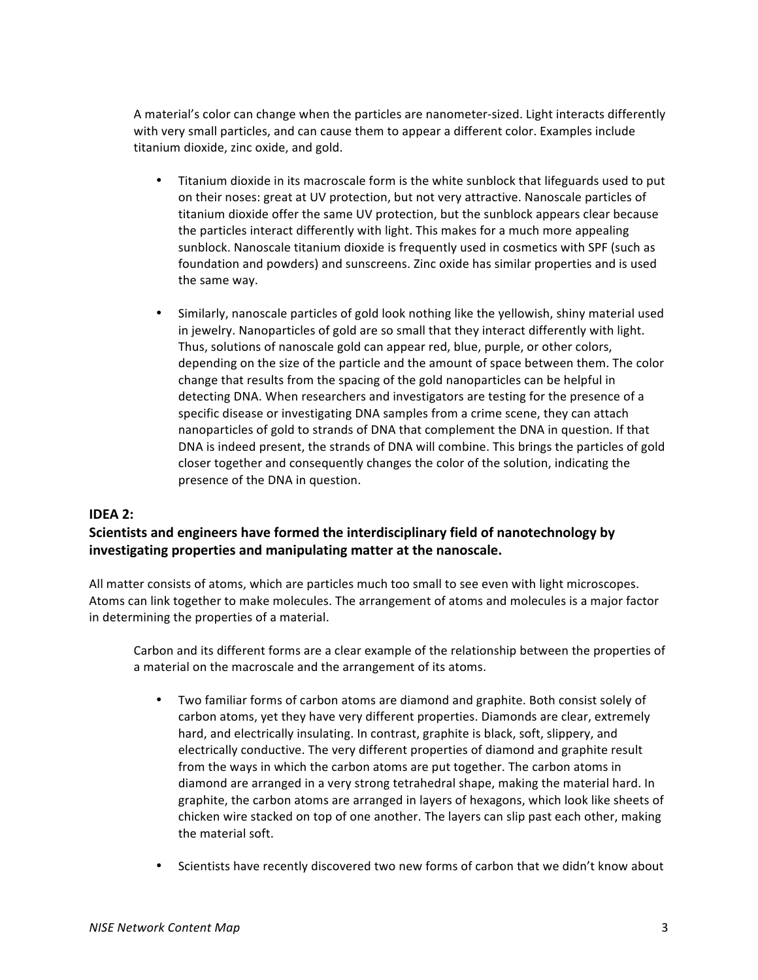A material's color can change when the particles are nanometer-sized. Light interacts differently with very small particles, and can cause them to appear a different color. Examples include titanium dioxide, zinc oxide, and gold.

- Titanium dioxide in its macroscale form is the white sunblock that lifeguards used to put on their noses: great at UV protection, but not very attractive. Nanoscale particles of titanium dioxide offer the same UV protection, but the sunblock appears clear because the particles interact differently with light. This makes for a much more appealing sunblock. Nanoscale titanium dioxide is frequently used in cosmetics with SPF (such as foundation and powders) and sunscreens. Zinc oxide has similar properties and is used the same way.
- Similarly, nanoscale particles of gold look nothing like the yellowish, shiny material used in jewelry. Nanoparticles of gold are so small that they interact differently with light. Thus, solutions of nanoscale gold can appear red, blue, purple, or other colors, depending on the size of the particle and the amount of space between them. The color change that results from the spacing of the gold nanoparticles can be helpful in detecting DNA. When researchers and investigators are testing for the presence of a specific disease or investigating DNA samples from a crime scene, they can attach nanoparticles of gold to strands of DNA that complement the DNA in question. If that DNA is indeed present, the strands of DNA will combine. This brings the particles of gold closer together and consequently changes the color of the solution, indicating the presence of the DNA in question.

#### **IDEA 2:**

## **Scientists and engineers have formed the interdisciplinary field of nanotechnology by** investigating properties and manipulating matter at the nanoscale.

All matter consists of atoms, which are particles much too small to see even with light microscopes. Atoms can link together to make molecules. The arrangement of atoms and molecules is a major factor in determining the properties of a material.

Carbon and its different forms are a clear example of the relationship between the properties of a material on the macroscale and the arrangement of its atoms.

- Two familiar forms of carbon atoms are diamond and graphite. Both consist solely of carbon atoms, yet they have very different properties. Diamonds are clear, extremely hard, and electrically insulating. In contrast, graphite is black, soft, slippery, and electrically conductive. The very different properties of diamond and graphite result from the ways in which the carbon atoms are put together. The carbon atoms in diamond are arranged in a very strong tetrahedral shape, making the material hard. In graphite, the carbon atoms are arranged in layers of hexagons, which look like sheets of chicken wire stacked on top of one another. The layers can slip past each other, making the material soft.
- Scientists have recently discovered two new forms of carbon that we didn't know about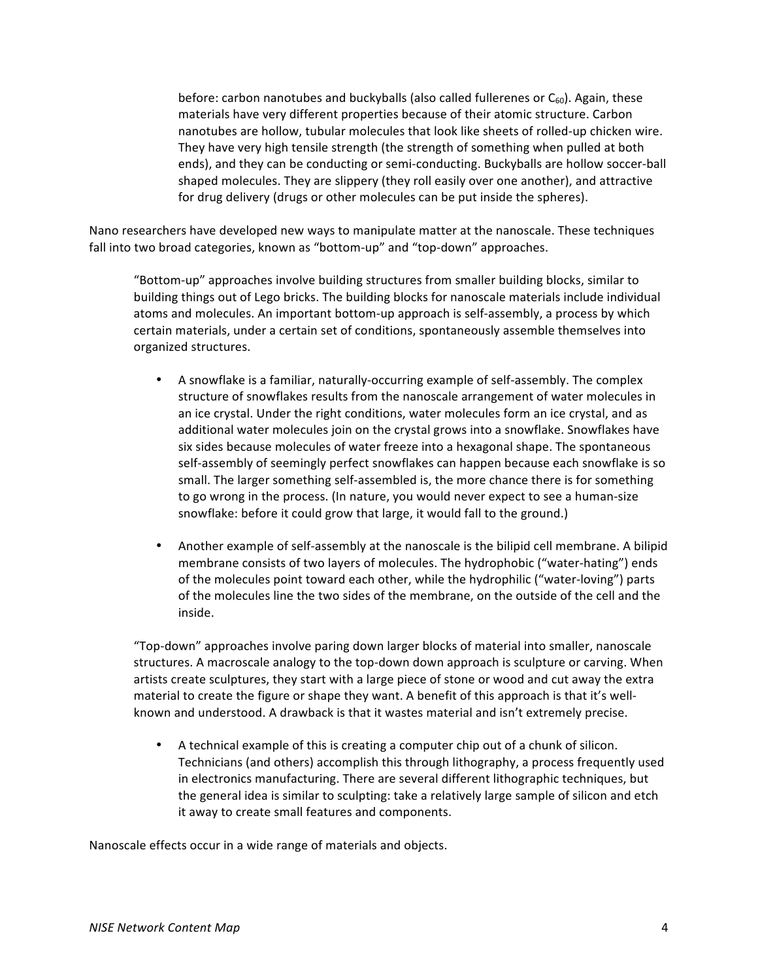before: carbon nanotubes and buckyballs (also called fullerenes or  $C_{60}$ ). Again, these materials have very different properties because of their atomic structure. Carbon nanotubes are hollow, tubular molecules that look like sheets of rolled-up chicken wire. They have very high tensile strength (the strength of something when pulled at both ends), and they can be conducting or semi-conducting. Buckyballs are hollow soccer-ball shaped molecules. They are slippery (they roll easily over one another), and attractive for drug delivery (drugs or other molecules can be put inside the spheres).

Nano researchers have developed new ways to manipulate matter at the nanoscale. These techniques fall into two broad categories, known as "bottom-up" and "top-down" approaches.

"Bottom-up" approaches involve building structures from smaller building blocks, similar to building things out of Lego bricks. The building blocks for nanoscale materials include individual atoms and molecules. An important bottom-up approach is self-assembly, a process by which certain materials, under a certain set of conditions, spontaneously assemble themselves into organized structures.

- A snowflake is a familiar, naturally-occurring example of self-assembly. The complex structure of snowflakes results from the nanoscale arrangement of water molecules in an ice crystal. Under the right conditions, water molecules form an ice crystal, and as additional water molecules join on the crystal grows into a snowflake. Snowflakes have six sides because molecules of water freeze into a hexagonal shape. The spontaneous self-assembly of seemingly perfect snowflakes can happen because each snowflake is so small. The larger something self-assembled is, the more chance there is for something to go wrong in the process. (In nature, you would never expect to see a human-size snowflake: before it could grow that large, it would fall to the ground.)
- Another example of self-assembly at the nanoscale is the bilipid cell membrane. A bilipid membrane consists of two layers of molecules. The hydrophobic ("water-hating") ends of the molecules point toward each other, while the hydrophilic ("water-loving") parts of the molecules line the two sides of the membrane, on the outside of the cell and the inside.

"Top-down" approaches involve paring down larger blocks of material into smaller, nanoscale structures. A macroscale analogy to the top-down down approach is sculpture or carving. When artists create sculptures, they start with a large piece of stone or wood and cut away the extra material to create the figure or shape they want. A benefit of this approach is that it's wellknown and understood. A drawback is that it wastes material and isn't extremely precise.

• A technical example of this is creating a computer chip out of a chunk of silicon. Technicians (and others) accomplish this through lithography, a process frequently used in electronics manufacturing. There are several different lithographic techniques, but the general idea is similar to sculpting: take a relatively large sample of silicon and etch it away to create small features and components.

Nanoscale effects occur in a wide range of materials and objects.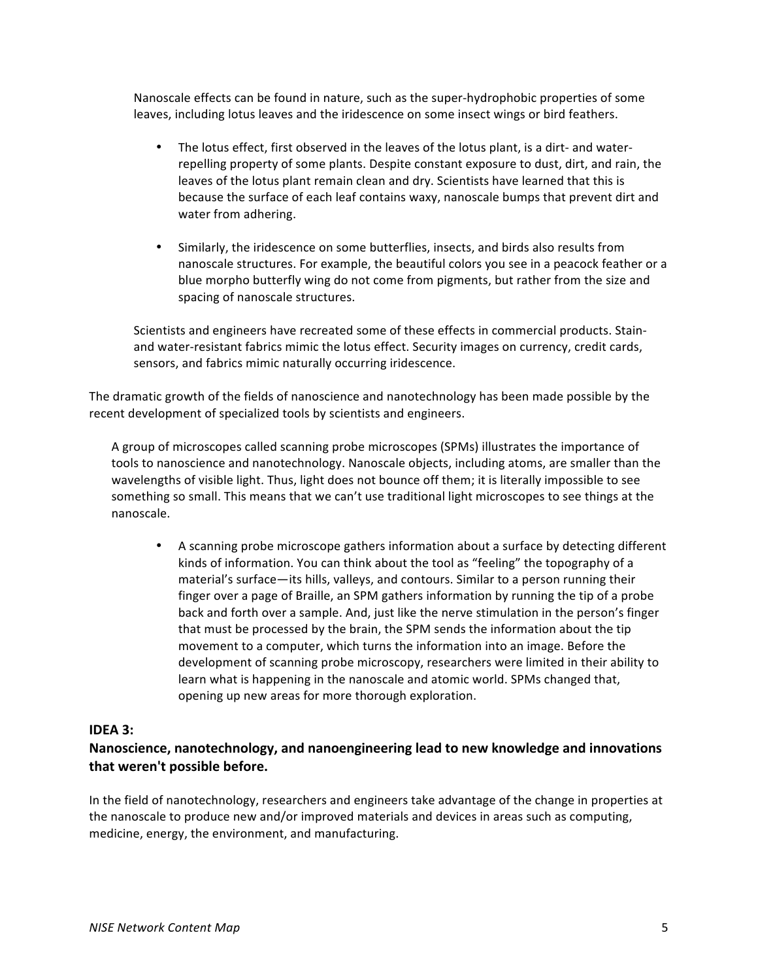Nanoscale effects can be found in nature, such as the super-hydrophobic properties of some leaves, including lotus leaves and the iridescence on some insect wings or bird feathers.

- The lotus effect, first observed in the leaves of the lotus plant, is a dirt- and waterrepelling property of some plants. Despite constant exposure to dust, dirt, and rain, the leaves of the lotus plant remain clean and dry. Scientists have learned that this is because the surface of each leaf contains waxy, nanoscale bumps that prevent dirt and water from adhering.
- Similarly, the iridescence on some butterflies, insects, and birds also results from nanoscale structures. For example, the beautiful colors you see in a peacock feather or a blue morpho butterfly wing do not come from pigments, but rather from the size and spacing of nanoscale structures.

Scientists and engineers have recreated some of these effects in commercial products. Stainand water-resistant fabrics mimic the lotus effect. Security images on currency, credit cards, sensors, and fabrics mimic naturally occurring iridescence.

The dramatic growth of the fields of nanoscience and nanotechnology has been made possible by the recent development of specialized tools by scientists and engineers.

A group of microscopes called scanning probe microscopes (SPMs) illustrates the importance of tools to nanoscience and nanotechnology. Nanoscale objects, including atoms, are smaller than the wavelengths of visible light. Thus, light does not bounce off them; it is literally impossible to see something so small. This means that we can't use traditional light microscopes to see things at the nanoscale.

A scanning probe microscope gathers information about a surface by detecting different kinds of information. You can think about the tool as "feeling" the topography of a material's surface—its hills, valleys, and contours. Similar to a person running their finger over a page of Braille, an SPM gathers information by running the tip of a probe back and forth over a sample. And, just like the nerve stimulation in the person's finger that must be processed by the brain, the SPM sends the information about the tip movement to a computer, which turns the information into an image. Before the development of scanning probe microscopy, researchers were limited in their ability to learn what is happening in the nanoscale and atomic world. SPMs changed that, opening up new areas for more thorough exploration.

## **IDEA 3:**

# Nanoscience, nanotechnology, and nanoengineering lead to new knowledge and innovations that weren't possible before.

In the field of nanotechnology, researchers and engineers take advantage of the change in properties at the nanoscale to produce new and/or improved materials and devices in areas such as computing, medicine, energy, the environment, and manufacturing.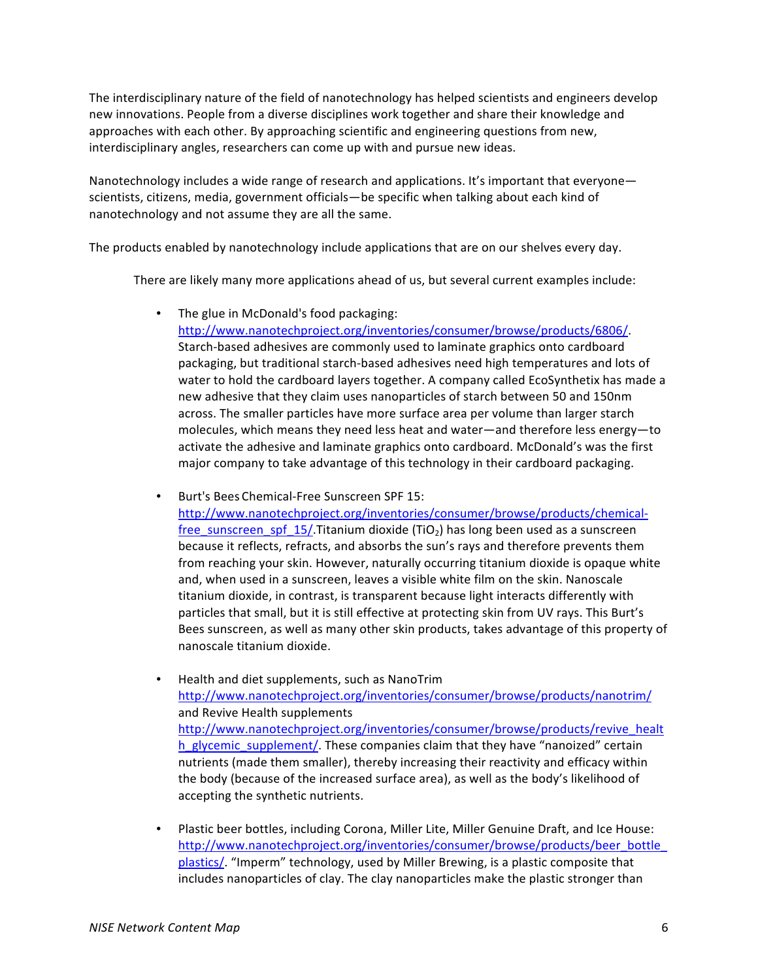The interdisciplinary nature of the field of nanotechnology has helped scientists and engineers develop new innovations. People from a diverse disciplines work together and share their knowledge and approaches with each other. By approaching scientific and engineering questions from new, interdisciplinary angles, researchers can come up with and pursue new ideas.

Nanotechnology includes a wide range of research and applications. It's important that everyone scientists, citizens, media, government officials—be specific when talking about each kind of nanotechnology and not assume they are all the same.

The products enabled by nanotechnology include applications that are on our shelves every day.

There are likely many more applications ahead of us, but several current examples include:

• The glue in McDonald's food packaging: http://www.nanotechproject.org/inventories/consumer/browse/products/6806/. Starch-based adhesives are commonly used to laminate graphics onto cardboard packaging, but traditional starch-based adhesives need high temperatures and lots of water to hold the cardboard layers together. A company called EcoSynthetix has made a new adhesive that they claim uses nanoparticles of starch between 50 and 150nm across. The smaller particles have more surface area per volume than larger starch molecules, which means they need less heat and water—and therefore less energy—to activate the adhesive and laminate graphics onto cardboard. McDonald's was the first major company to take advantage of this technology in their cardboard packaging.

Burt's Bees Chemical-Free Sunscreen SPF 15:

http://www.nanotechproject.org/inventories/consumer/browse/products/chemicalfree\_sunscreen\_spf\_15/.Titanium dioxide (TiO<sub>2</sub>) has long been used as a sunscreen because it reflects, refracts, and absorbs the sun's rays and therefore prevents them from reaching your skin. However, naturally occurring titanium dioxide is opaque white and, when used in a sunscreen, leaves a visible white film on the skin. Nanoscale titanium dioxide, in contrast, is transparent because light interacts differently with particles that small, but it is still effective at protecting skin from UV rays. This Burt's Bees sunscreen, as well as many other skin products, takes advantage of this property of nanoscale titanium dioxide.

- Health and diet supplements, such as NanoTrim http://www.nanotechproject.org/inventories/consumer/browse/products/nanotrim/ and Revive Health supplements http://www.nanotechproject.org/inventories/consumer/browse/products/revive\_healt h\_glycemic\_supplement/. These companies claim that they have "nanoized" certain nutrients (made them smaller), thereby increasing their reactivity and efficacy within the body (because of the increased surface area), as well as the body's likelihood of accepting the synthetic nutrients.
- Plastic beer bottles, including Corona, Miller Lite, Miller Genuine Draft, and Ice House: http://www.nanotechproject.org/inventories/consumer/browse/products/beer\_bottle\_ plastics/. "Imperm" technology, used by Miller Brewing, is a plastic composite that includes nanoparticles of clay. The clay nanoparticles make the plastic stronger than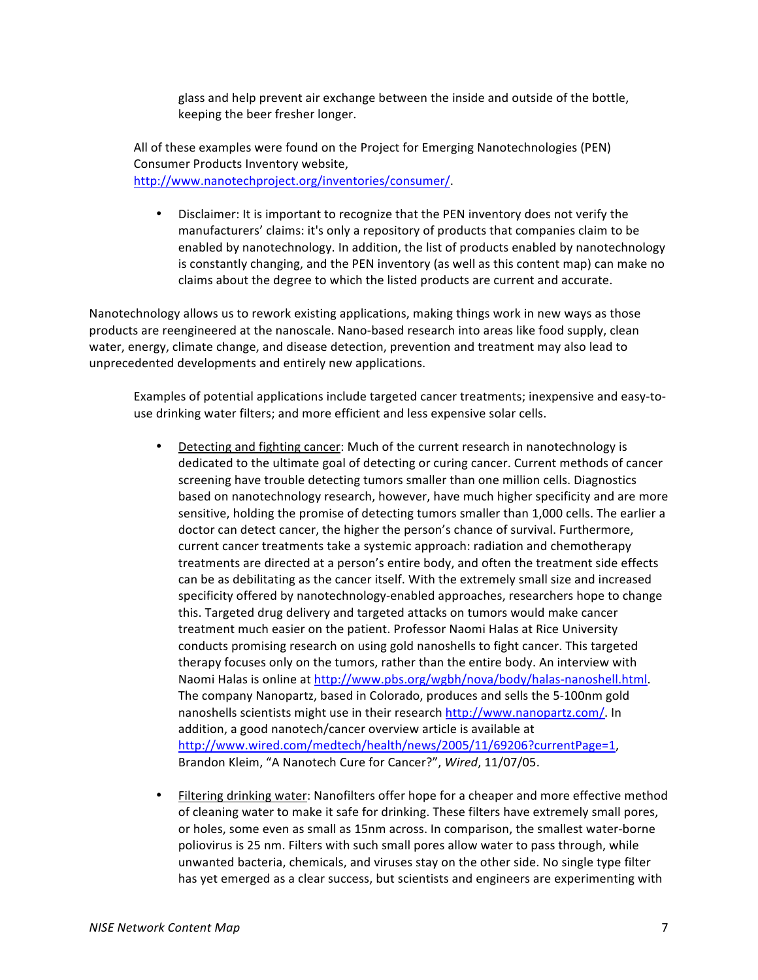glass and help prevent air exchange between the inside and outside of the bottle, keeping the beer fresher longer.

All of these examples were found on the Project for Emerging Nanotechnologies (PEN) Consumer Products Inventory website, http://www.nanotechproject.org/inventories/consumer/.

• Disclaimer: It is important to recognize that the PEN inventory does not verify the manufacturers' claims: it's only a repository of products that companies claim to be enabled by nanotechnology. In addition, the list of products enabled by nanotechnology is constantly changing, and the PEN inventory (as well as this content map) can make no claims about the degree to which the listed products are current and accurate.

Nanotechnology allows us to rework existing applications, making things work in new ways as those products are reengineered at the nanoscale. Nano-based research into areas like food supply, clean water, energy, climate change, and disease detection, prevention and treatment may also lead to unprecedented developments and entirely new applications.

Examples of potential applications include targeted cancer treatments; inexpensive and easy-touse drinking water filters; and more efficient and less expensive solar cells.

- Detecting and fighting cancer: Much of the current research in nanotechnology is dedicated to the ultimate goal of detecting or curing cancer. Current methods of cancer screening have trouble detecting tumors smaller than one million cells. Diagnostics based on nanotechnology research, however, have much higher specificity and are more sensitive, holding the promise of detecting tumors smaller than 1,000 cells. The earlier a doctor can detect cancer, the higher the person's chance of survival. Furthermore, current cancer treatments take a systemic approach: radiation and chemotherapy treatments are directed at a person's entire body, and often the treatment side effects can be as debilitating as the cancer itself. With the extremely small size and increased specificity offered by nanotechnology-enabled approaches, researchers hope to change this. Targeted drug delivery and targeted attacks on tumors would make cancer treatment much easier on the patient. Professor Naomi Halas at Rice University conducts promising research on using gold nanoshells to fight cancer. This targeted therapy focuses only on the tumors, rather than the entire body. An interview with Naomi Halas is online at http://www.pbs.org/wgbh/nova/body/halas-nanoshell.html. The company Nanopartz, based in Colorado, produces and sells the 5-100nm gold nanoshells scientists might use in their research http://www.nanopartz.com/. In addition, a good nanotech/cancer overview article is available at http://www.wired.com/medtech/health/news/2005/11/69206?currentPage=1, Brandon Kleim, "A Nanotech Cure for Cancer?", Wired, 11/07/05.
- Filtering drinking water: Nanofilters offer hope for a cheaper and more effective method of cleaning water to make it safe for drinking. These filters have extremely small pores, or holes, some even as small as 15nm across. In comparison, the smallest water-borne poliovirus is 25 nm. Filters with such small pores allow water to pass through, while unwanted bacteria, chemicals, and viruses stay on the other side. No single type filter has yet emerged as a clear success, but scientists and engineers are experimenting with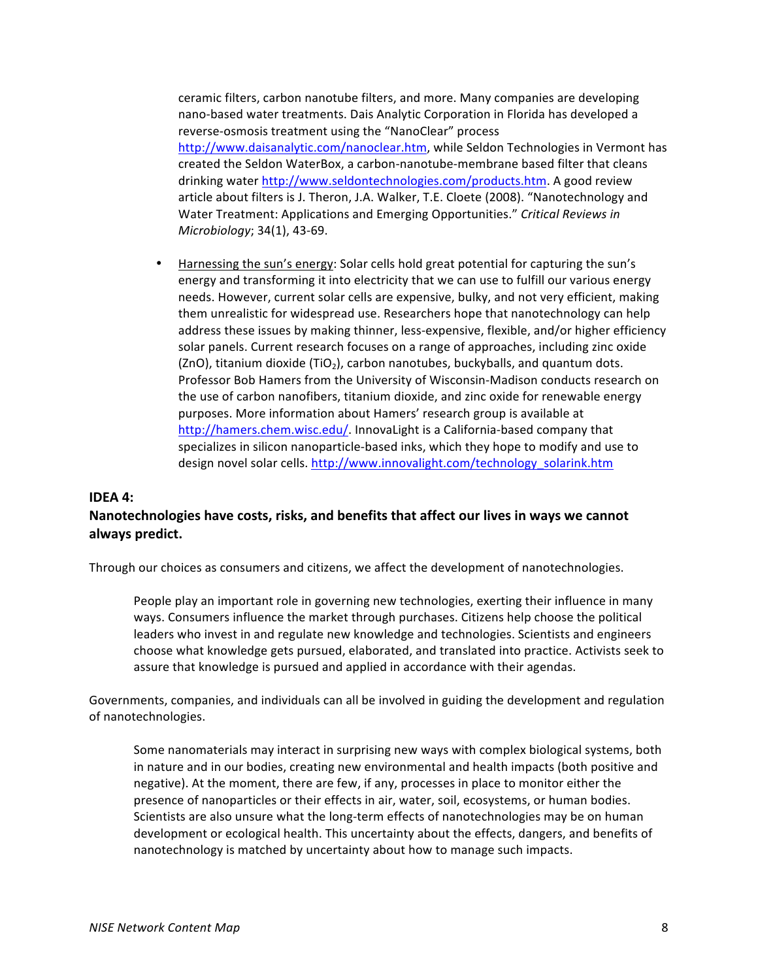ceramic filters, carbon nanotube filters, and more. Many companies are developing nano-based water treatments. Dais Analytic Corporation in Florida has developed a reverse-osmosis treatment using the "NanoClear" process http://www.daisanalytic.com/nanoclear.htm, while Seldon Technologies in Vermont has created the Seldon WaterBox, a carbon-nanotube-membrane based filter that cleans drinking water http://www.seldontechnologies.com/products.htm. A good review article about filters is J. Theron, J.A. Walker, T.E. Cloete (2008). "Nanotechnology and Water Treatment: Applications and Emerging Opportunities." Critical Reviews in *Microbiology*; 34(1), 43-69.

Harnessing the sun's energy: Solar cells hold great potential for capturing the sun's energy and transforming it into electricity that we can use to fulfill our various energy needs. However, current solar cells are expensive, bulky, and not very efficient, making them unrealistic for widespread use. Researchers hope that nanotechnology can help address these issues by making thinner, less-expensive, flexible, and/or higher efficiency solar panels. Current research focuses on a range of approaches, including zinc oxide (ZnO), titanium dioxide (TiO<sub>2</sub>), carbon nanotubes, buckyballs, and quantum dots. Professor Bob Hamers from the University of Wisconsin-Madison conducts research on the use of carbon nanofibers, titanium dioxide, and zinc oxide for renewable energy purposes. More information about Hamers' research group is available at http://hamers.chem.wisc.edu/. InnovaLight is a California-based company that specializes in silicon nanoparticle-based inks, which they hope to modify and use to design novel solar cells. http://www.innovalight.com/technology\_solarink.htm

#### **IDFA 4:**

#### Nanotechnologies have costs, risks, and benefits that affect our lives in ways we cannot **always!predict.**

Through our choices as consumers and citizens, we affect the development of nanotechnologies.

People play an important role in governing new technologies, exerting their influence in many ways. Consumers influence the market through purchases. Citizens help choose the political leaders who invest in and regulate new knowledge and technologies. Scientists and engineers choose what knowledge gets pursued, elaborated, and translated into practice. Activists seek to assure that knowledge is pursued and applied in accordance with their agendas.

Governments, companies, and individuals can all be involved in guiding the development and regulation of nanotechnologies.

Some nanomaterials may interact in surprising new ways with complex biological systems, both in nature and in our bodies, creating new environmental and health impacts (both positive and negative). At the moment, there are few, if any, processes in place to monitor either the presence of nanoparticles or their effects in air, water, soil, ecosystems, or human bodies. Scientists are also unsure what the long-term effects of nanotechnologies may be on human development or ecological health. This uncertainty about the effects, dangers, and benefits of nanotechnology is matched by uncertainty about how to manage such impacts.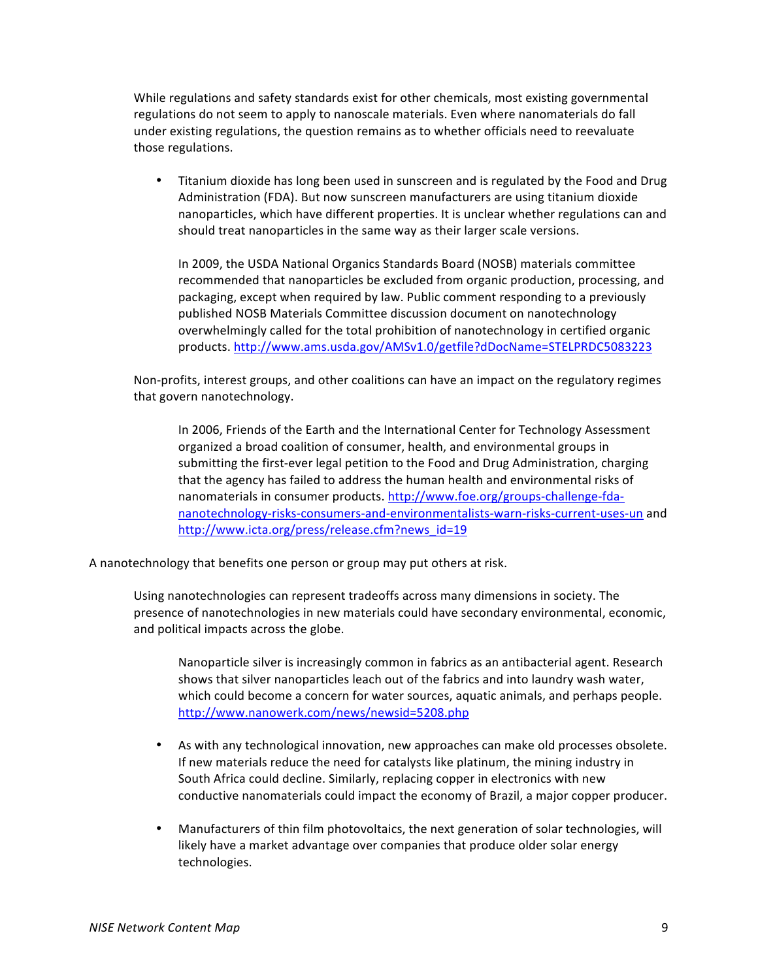While regulations and safety standards exist for other chemicals, most existing governmental regulations do not seem to apply to nanoscale materials. Even where nanomaterials do fall under existing regulations, the question remains as to whether officials need to reevaluate those regulations.

Titanium dioxide has long been used in sunscreen and is regulated by the Food and Drug Administration (FDA). But now sunscreen manufacturers are using titanium dioxide nanoparticles, which have different properties. It is unclear whether regulations can and should treat nanoparticles in the same way as their larger scale versions.

In 2009, the USDA National Organics Standards Board (NOSB) materials committee recommended that nanoparticles be excluded from organic production, processing, and packaging, except when required by law. Public comment responding to a previously published NOSB Materials Committee discussion document on nanotechnology overwhelmingly called for the total prohibition of nanotechnology in certified organic products.(http://www.ams.usda.gov/AMSv1.0/getfile?dDocName=STELPRDC5083223

Non-profits, interest groups, and other coalitions can have an impact on the regulatory regimes that govern nanotechnology.

In 2006, Friends of the Earth and the International Center for Technology Assessment organized a broad coalition of consumer, health, and environmental groups in submitting the first-ever legal petition to the Food and Drug Administration, charging that the agency has failed to address the human health and environmental risks of nanomaterials in consumer products. http://www.foe.org/groups-challenge-fdananotechnology-risks-consumers-and-environmentalists-warn-risks-current-uses-un and http://www.icta.org/press/release.cfm?news\_id=19

A nanotechnology that benefits one person or group may put others at risk.

Using nanotechnologies can represent tradeoffs across many dimensions in society. The presence of nanotechnologies in new materials could have secondary environmental, economic, and political impacts across the globe.

Nanoparticle silver is increasingly common in fabrics as an antibacterial agent. Research shows that silver nanoparticles leach out of the fabrics and into laundry wash water, which could become a concern for water sources, aquatic animals, and perhaps people. http://www.nanowerk.com/news/newsid=5208.php

- As with any technological innovation, new approaches can make old processes obsolete. If new materials reduce the need for catalysts like platinum, the mining industry in South Africa could decline. Similarly, replacing copper in electronics with new conductive nanomaterials could impact the economy of Brazil, a major copper producer.
- Manufacturers of thin film photovoltaics, the next generation of solar technologies, will likely have a market advantage over companies that produce older solar energy technologies.